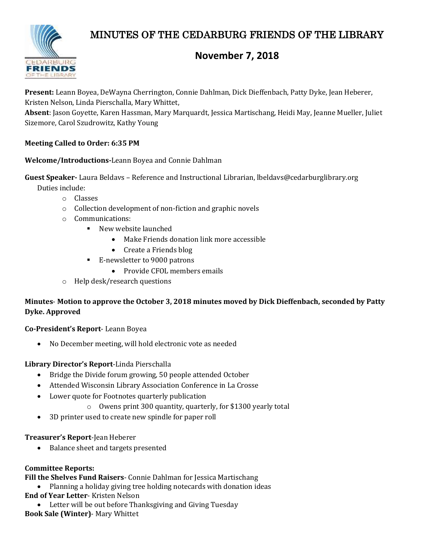# MINUTES OF THE CEDARBURG FRIENDS OF THE LIBRARY



## **November 7, 2018**

**Present:** Leann Boyea, DeWayna Cherrington, Connie Dahlman, Dick Dieffenbach, Patty Dyke, Jean Heberer, Kristen Nelson, Linda Pierschalla, Mary Whittet,

**Absent**: Jason Goyette, Karen Hassman, Mary Marquardt, Jessica Martischang, Heidi May, Jeanne Mueller, Juliet Sizemore, Carol Szudrowitz, Kathy Young

## **Meeting Called to Order: 6:35 PM**

#### **Welcome/Introductions-**Leann Boyea and Connie Dahlman

**Guest Speaker-** Laura Beldavs – Reference and Instructional Librarian, lbeldavs@cedarburglibrary.org

Duties include:

- o Classes
- o Collection development of non-fiction and graphic novels
- o Communications:
	- New website launched
		- Make Friends donation link more accessible
		- Create a Friends blog
	- E-newsletter to 9000 patrons
		- Provide CFOL members emails
- o Help desk/research questions

## **Minutes**- **Motion to approve the October 3, 2018 minutes moved by Dick Dieffenbach, seconded by Patty Dyke. Approved**

#### **Co-President's Report**- Leann Boyea

No December meeting, will hold electronic vote as needed

#### **Library Director's Report**-Linda Pierschalla

- Bridge the Divide forum growing, 50 people attended October
- Attended Wisconsin Library Association Conference in La Crosse
- Lower quote for Footnotes quarterly publication
	- o Owens print 300 quantity, quarterly, for \$1300 yearly total
- 3D printer used to create new spindle for paper roll

#### **Treasurer's Report**-Jean Heberer

• Balance sheet and targets presented

## **Committee Reports:**

**Fill the Shelves Fund Raisers**- Connie Dahlman for Jessica Martischang

- Planning a holiday giving tree holding notecards with donation ideas **End of Year Letter**- Kristen Nelson
- Letter will be out before Thanksgiving and Giving Tuesday **Book Sale (Winter)**- Mary Whittet